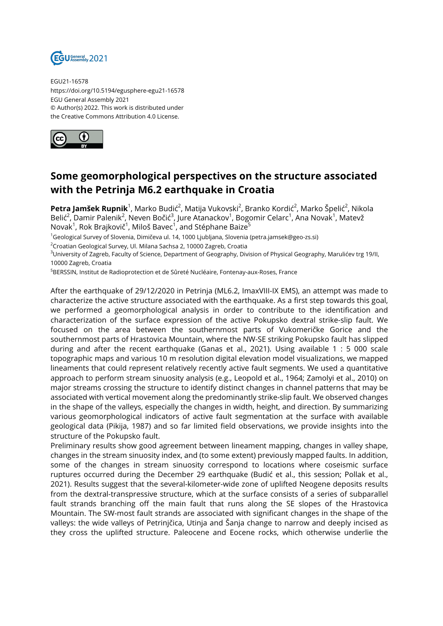

EGU21-16578 https://doi.org/10.5194/egusphere-egu21-16578 EGU General Assembly 2021 © Author(s) 2022. This work is distributed under the Creative Commons Attribution 4.0 License.



## **Some geomorphological perspectives on the structure associated with the Petrinja M6.2 earthquake in Croatia**

**Petra Jamšek Rupnik**<sup>1</sup>, Marko Budić<sup>2</sup>, Matija Vukovski<sup>2</sup>, Branko Kordić<sup>2</sup>, Marko Špelić<sup>2</sup>, Nikola Belić $^2$ , Damir Palenik $^2$ , Neven Bočić $^3$ , Jure Atanackov $^1$ , Bogomir Celarc $^1$ , Ana Novak $^1$ , Matevž Novak<sup>1</sup>, Rok Brajkovič<sup>1</sup>, Miloš Bavec<sup>1</sup>, and Stéphane Baize<sup>5</sup>

<sup>1</sup>Geological Survey of Slovenia, Dimičeva ul. 14, 1000 Ljubljana, Slovenia (petra.jamsek@geo-zs.si)

<sup>2</sup>Croatian Geological Survey, Ul. Milana Sachsa 2, 10000 Zagreb, Croatia

<sup>3</sup>University of Zagreb, Faculty of Science, Department of Geography, Division of Physical Geography, Marulićev trg 19/II, 10000 Zagreb, Croatia

<sup>5</sup>BERSSIN, Institut de Radioprotection et de Sûreté Nucléaire, Fontenay-aux-Roses, France

After the earthquake of 29/12/2020 in Petrinja (ML6.2, ImaxVIII-IX EMS), an attempt was made to characterize the active structure associated with the earthquake. As a first step towards this goal, we performed a geomorphological analysis in order to contribute to the identification and characterization of the surface expression of the active Pokupsko dextral strike-slip fault. We focused on the area between the southernmost parts of Vukomeričke Gorice and the southernmost parts of Hrastovica Mountain, where the NW-SE striking Pokupsko fault has slipped during and after the recent earthquake (Ganas et al., 2021). Using available 1 : 5 000 scale topographic maps and various 10 m resolution digital elevation model visualizations, we mapped lineaments that could represent relatively recently active fault segments. We used a quantitative approach to perform stream sinuosity analysis (e.g., Leopold et al., 1964; Zamolyi et al., 2010) on major streams crossing the structure to identify distinct changes in channel patterns that may be associated with vertical movement along the predominantly strike-slip fault. We observed changes in the shape of the valleys, especially the changes in width, height, and direction. By summarizing various geomorphological indicators of active fault segmentation at the surface with available geological data (Pikija, 1987) and so far limited field observations, we provide insights into the structure of the Pokupsko fault.

Preliminary results show good agreement between lineament mapping, changes in valley shape, changes in the stream sinuosity index, and (to some extent) previously mapped faults. In addition, some of the changes in stream sinuosity correspond to locations where coseismic surface ruptures occurred during the December 29 earthquake (Budić et al., this session; Pollak et al., 2021). Results suggest that the several-kilometer-wide zone of uplifted Neogene deposits results from the dextral-transpressive structure, which at the surface consists of a series of subparallel fault strands branching off the main fault that runs along the SE slopes of the Hrastovica Mountain. The SW-most fault strands are associated with significant changes in the shape of the valleys: the wide valleys of Petrinjčica, Utinja and Šanja change to narrow and deeply incised as they cross the uplifted structure. Paleocene and Eocene rocks, which otherwise underlie the